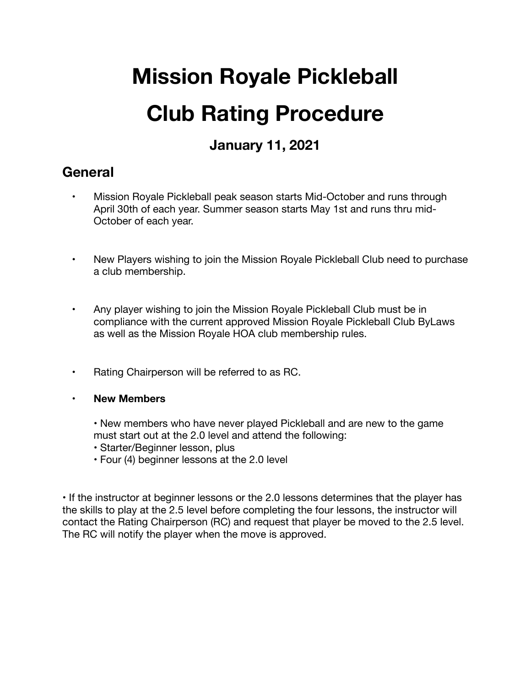# **Mission Royale Pickleball Club Rating Procedure**

## **January 11, 2021**

### **General**

- Mission Royale Pickleball peak season starts Mid-October and runs through April 30th of each year. Summer season starts May 1st and runs thru mid-October of each year.
- New Players wishing to join the Mission Royale Pickleball Club need to purchase a club membership.
- Any player wishing to join the Mission Royale Pickleball Club must be in compliance with the current approved Mission Royale Pickleball Club ByLaws as well as the Mission Royale HOA club membership rules.
- Rating Chairperson will be referred to as RC.
- **New Members**
	- New members who have never played Pickleball and are new to the game must start out at the 2.0 level and attend the following:
	- Starter/Beginner lesson, plus
	- Four (4) beginner lessons at the 2.0 level

• If the instructor at beginner lessons or the 2.0 lessons determines that the player has the skills to play at the 2.5 level before completing the four lessons, the instructor will contact the Rating Chairperson (RC) and request that player be moved to the 2.5 level. The RC will notify the player when the move is approved.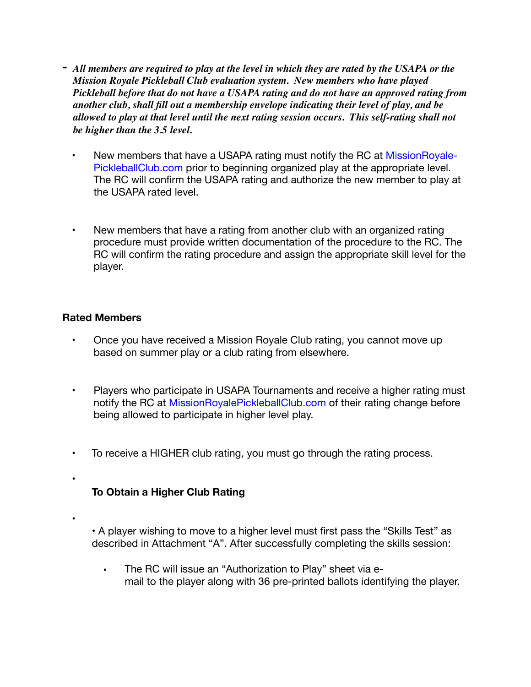- *- All members are required to play at the level in which they are rated by the USAPA or the Mission Royale Pickleball Club evaluation system. New members who have played Pickleball before that do not have a USAPA rating and do not have an approved rating from another club, shall fill out a membership envelope indicating their level of play, and be allowed to play at that level until the next rating session occurs. This self-rating shall not be higher than the 3.5 level.* 
	- New members that have a USAPA rating must notify the RC at MissionRoyale-PickleballClub.com prior to beginning organized play at the appropriate level. The RC will confirm the USAPA rating and authorize the new member to play at the USAPA rated level.
	- New members that have a rating from another club with an organized rating procedure must provide written documentation of the procedure to the RC. The RC will confirm the rating procedure and assign the appropriate skill level for the player.

#### **Rated Members**

- Once you have received a Mission Royale Club rating, you cannot move up based on summer play or a club rating from elsewhere.
- Players who participate in USAPA Tournaments and receive a higher rating must notify the RC at MissionRoyalePickleballClub.com of their rating change before being allowed to participate in higher level play.
- To receive a HIGHER club rating, you must go through the rating process.

#### **To Obtain a Higher Club Rating**

•

•

• A player wishing to move to a higher level must first pass the "Skills Test" as described in Attachment "A". After successfully completing the skills session:

• The RC will issue an "Authorization to Play" sheet via email to the player along with 36 pre-printed ballots identifying the player.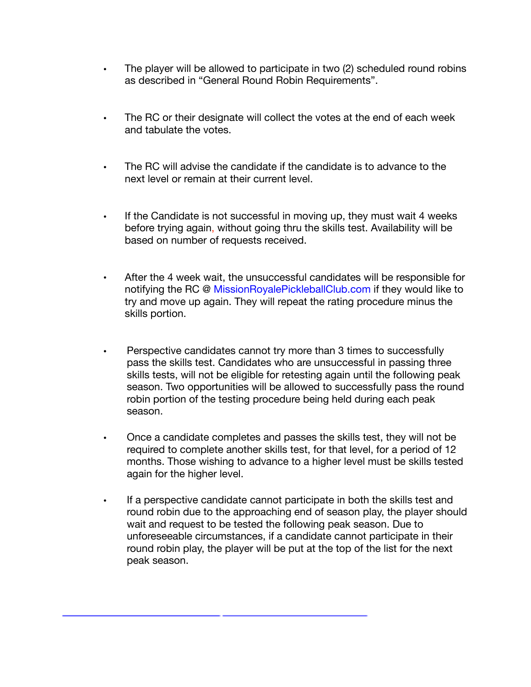- The player will be allowed to participate in two (2) scheduled round robins as described in "General Round Robin Requirements".
- The RC or their designate will collect the votes at the end of each week and tabulate the votes.
- The RC will advise the candidate if the candidate is to advance to the next level or remain at their current level.
- If the Candidate is not successful in moving up, they must wait 4 weeks before trying again, without going thru the skills test. Availability will be based on number of requests received.
- After the 4 week wait, the unsuccessful candidates will be responsible for notifying the RC @ MissionRoyalePickleballClub.com if they would like to try and move up again. They will repeat the rating procedure minus the skills portion.
- Perspective candidates cannot try more than 3 times to successfully pass the skills test. Candidates who are unsuccessful in passing three skills tests, will not be eligible for retesting again until the following peak season. Two opportunities will be allowed to successfully pass the round robin portion of the testing procedure being held during each peak season.
- Once a candidate completes and passes the skills test, they will not be required to complete another skills test, for that level, for a period of 12 months. Those wishing to advance to a higher level must be skills tested again for the higher level.
- If a perspective candidate cannot participate in both the skills test and round robin due to the approaching end of season play, the player should wait and request to be tested the following peak season. Due to unforeseeable circumstances, if a candidate cannot participate in their round robin play, the player will be put at the top of the list for the next peak season.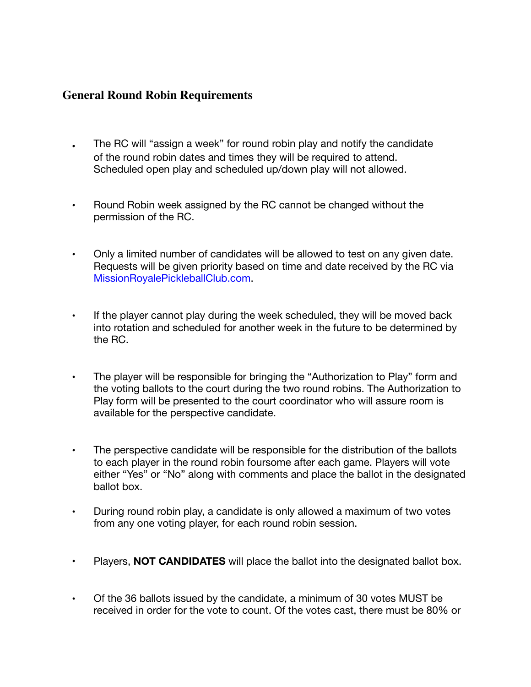#### **General Round Robin Requirements**

- **.** The RC will "assign a week" for round robin play and notify the candidate of the round robin dates and times they will be required to attend. Scheduled open play and scheduled up/down play will not allowed.
- **•** Round Robin week assigned by the RC cannot be changed without the permission of the RC.
- **•** Only a limited number of candidates will be allowed to test on any given date. Requests will be given priority based on time and date received by the RC via MissionRoyalePickleballClub.com.
- **•** If the player cannot play during the week scheduled, they will be moved back into rotation and scheduled for another week in the future to be determined by the RC.
- **•** The player will be responsible for bringing the "Authorization to Play" form and the voting ballots to the court during the two round robins. The Authorization to Play form will be presented to the court coordinator who will assure room is available for the perspective candidate.
- **•** The perspective candidate will be responsible for the distribution of the ballots to each player in the round robin foursome after each game. Players will vote either "Yes" or "No" along with comments and place the ballot in the designated ballot box.
- **•** During round robin play, a candidate is only allowed a maximum of two votes from any one voting player, for each round robin session.
- **•** Players, **NOT CANDIDATES** will place the ballot into the designated ballot box.
- **•** Of the 36 ballots issued by the candidate, a minimum of 30 votes MUST be received in order for the vote to count. Of the votes cast, there must be 80% or